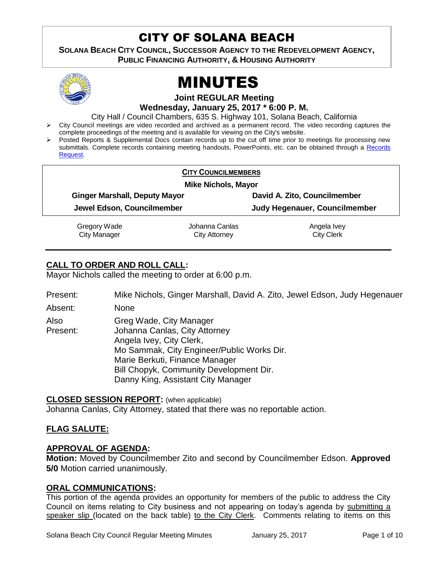# CITY OF SOLANA BEACH

**SOLANA BEACH CITY COUNCIL, SUCCESSOR AGENCY TO THE REDEVELOPMENT AGENCY, PUBLIC FINANCING AUTHORITY, & HOUSING AUTHORITY** 



# MINUTES

**Joint REGULAR Meeting**

**Wednesday, January 25, 2017 \* 6:00 P. M.**

City Hall / Council Chambers, 635 S. Highway 101, Solana Beach, California

- $\triangleright$  City Council meetings are video recorded and archived as a permanent record. The video recording captures the complete proceedings of the meeting and is available for viewing on the City's website.
- Posted Reports & Supplemental Docs contain records up to the cut off time prior to meetings for processing new submittals. Complete records containing meeting handouts, PowerPoints, etc. can be obtained through a [Records](http://www.ci.solana-beach.ca.us/index.asp?SEC=F5D45D10-70CE-4291-A27C-7BD633FC6742&Type=B_BASIC)  [Request.](http://www.ci.solana-beach.ca.us/index.asp?SEC=F5D45D10-70CE-4291-A27C-7BD633FC6742&Type=B_BASIC)

| <b>CITY COUNCILMEMBERS</b>           |                |                               |  |
|--------------------------------------|----------------|-------------------------------|--|
| <b>Mike Nichols, Mayor</b>           |                |                               |  |
| <b>Ginger Marshall, Deputy Mayor</b> |                | David A. Zito, Councilmember  |  |
| Jewel Edson, Councilmember           |                | Judy Hegenauer, Councilmember |  |
| Gregory Wade                         | Johanna Canlas | Angela Ivey                   |  |
| <b>City Manager</b>                  | City Attorney  | <b>City Clerk</b>             |  |

## **CALL TO ORDER AND ROLL CALL:**

Mayor Nichols called the meeting to order at 6:00 p.m.

Present: Mike Nichols, Ginger Marshall, David A. Zito, Jewel Edson, Judy Hegenauer

Absent: None

Also Present: Greg Wade, City Manager Johanna Canlas, City Attorney Angela Ivey, City Clerk, Mo Sammak, City Engineer/Public Works Dir. Marie Berkuti, Finance Manager Bill Chopyk, Community Development Dir. Danny King, Assistant City Manager

## **CLOSED SESSION REPORT:** (when applicable)

Johanna Canlas, City Attorney, stated that there was no reportable action.

## **FLAG SALUTE:**

## **APPROVAL OF AGENDA:**

**Motion:** Moved by Councilmember Zito and second by Councilmember Edson. **Approved 5/0** Motion carried unanimously.

## **ORAL COMMUNICATIONS:**

This portion of the agenda provides an opportunity for members of the public to address the City Council on items relating to City business and not appearing on today's agenda by submitting a speaker slip (located on the back table) to the City Clerk. Comments relating to items on this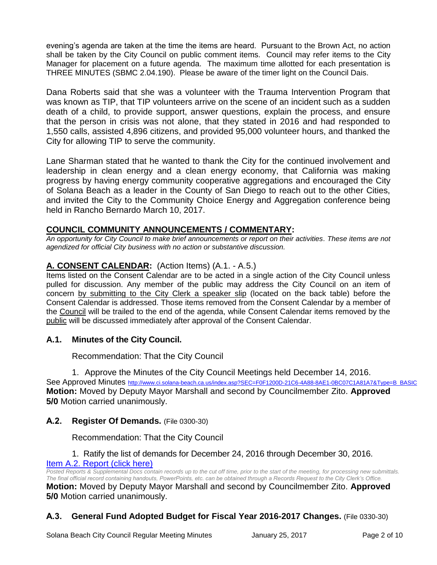evening's agenda are taken at the time the items are heard. Pursuant to the Brown Act, no action shall be taken by the City Council on public comment items. Council may refer items to the City Manager for placement on a future agenda. The maximum time allotted for each presentation is THREE MINUTES (SBMC 2.04.190). Please be aware of the timer light on the Council Dais.

Dana Roberts said that she was a volunteer with the Trauma Intervention Program that was known as TIP, that TIP volunteers arrive on the scene of an incident such as a sudden death of a child, to provide support, answer questions, explain the process, and ensure that the person in crisis was not alone, that they stated in 2016 and had responded to 1,550 calls, assisted 4,896 citizens, and provided 95,000 volunteer hours, and thanked the City for allowing TIP to serve the community.

Lane Sharman stated that he wanted to thank the City for the continued involvement and leadership in clean energy and a clean energy economy, that California was making progress by having energy community cooperative aggregations and encouraged the City of Solana Beach as a leader in the County of San Diego to reach out to the other Cities, and invited the City to the Community Choice Energy and Aggregation conference being held in Rancho Bernardo March 10, 2017.

## **COUNCIL COMMUNITY ANNOUNCEMENTS / COMMENTARY:**

*An opportunity for City Council to make brief announcements or report on their activities. These items are not agendized for official City business with no action or substantive discussion.* 

## **A. CONSENT CALENDAR:** (Action Items) (A.1. - A.5.)

Items listed on the Consent Calendar are to be acted in a single action of the City Council unless pulled for discussion. Any member of the public may address the City Council on an item of concern by submitting to the City Clerk a speaker slip (located on the back table) before the Consent Calendar is addressed. Those items removed from the Consent Calendar by a member of the Council will be trailed to the end of the agenda, while Consent Calendar items removed by the public will be discussed immediately after approval of the Consent Calendar.

## **A.1. Minutes of the City Council.**

Recommendation: That the City Council

1. Approve the Minutes of the City Council Meetings held December 14, 2016.

See Approved Minutes [http://www.ci.solana-beach.ca.us/index.asp?SEC=F0F1200D-21C6-4A88-8AE1-0BC07C1A81A7&Type=B\\_BASIC](http://www.ci.solana-beach.ca.us/index.asp?SEC=F0F1200D-21C6-4A88-8AE1-0BC07C1A81A7&Type=B_BASIC) **Motion:** Moved by Deputy Mayor Marshall and second by Councilmember Zito. **Approved 5/0** Motion carried unanimously.

## **A.2. Register Of Demands.** (File 0300-30)

Recommendation: That the City Council

#### 1. Ratify the list of demands for December 24, 2016 through December 30, 2016. [Item A.2. Report \(click here\)](https://solanabeach.govoffice3.com/vertical/Sites/%7B840804C2-F869-4904-9AE3-720581350CE7%7D/uploads/Item_A.2._Report_(click_here)_01-25-17.PDF)

*Posted Reports & Supplemental Docs contain records up to the cut off time, prior to the start of the meeting, for processing new submittals. The final official record containing handouts, PowerPoints, etc. can be obtained through a Records Request to the City Clerk's Office.*

**Motion:** Moved by Deputy Mayor Marshall and second by Councilmember Zito. **Approved 5/0** Motion carried unanimously.

## **A.3. General Fund Adopted Budget for Fiscal Year 2016-2017 Changes.** (File 0330-30)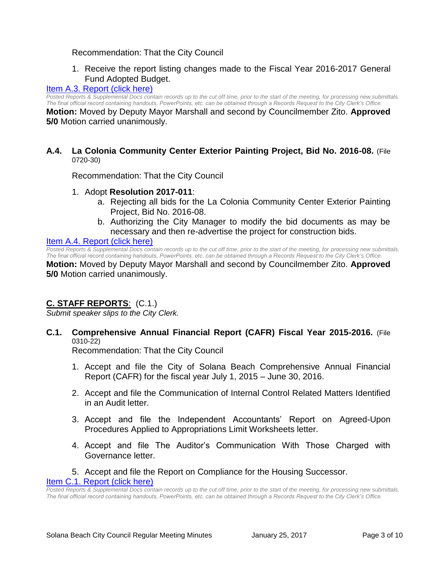#### Recommendation: That the City Council

1. Receive the report listing changes made to the Fiscal Year 2016-2017 General Fund Adopted Budget.

#### [Item A.3. Report \(click here\)](https://solanabeach.govoffice3.com/vertical/Sites/%7B840804C2-F869-4904-9AE3-720581350CE7%7D/uploads/Item_A.3._Report_(click_here)_01-25-17.PDF)

*Posted Reports & Supplemental Docs contain records up to the cut off time, prior to the start of the meeting, for processing new submittals. The final official record containing handouts, PowerPoints, etc. can be obtained through a Records Request to the City Clerk's Office.*

**Motion:** Moved by Deputy Mayor Marshall and second by Councilmember Zito. **Approved 5/0** Motion carried unanimously.

#### **A.4. La Colonia Community Center Exterior Painting Project, Bid No. 2016-08.** (File 0720-30)

Recommendation: That the City Council

- 1. Adopt **Resolution 2017-011**:
	- a. Rejecting all bids for the La Colonia Community Center Exterior Painting Project, Bid No. 2016-08.
	- b. Authorizing the City Manager to modify the bid documents as may be necessary and then re-advertise the project for construction bids.

#### [Item A.4. Report \(click here\)](https://solanabeach.govoffice3.com/vertical/Sites/%7B840804C2-F869-4904-9AE3-720581350CE7%7D/uploads/Item_A.4._Report_(click_here)_01-25-17.PDF)

Posted Reports & Supplemental Docs contain records up to the cut off time, prior to the start of the meeting, for processing new submittals. *The final official record containing handouts, PowerPoints, etc. can be obtained through a Records Request to the City Clerk's Office.* **Motion:** Moved by Deputy Mayor Marshall and second by Councilmember Zito. **Approved 5/0** Motion carried unanimously.

## **C. STAFF REPORTS**: (C.1.)

*Submit speaker slips to the City Clerk.*

**C.1. Comprehensive Annual Financial Report (CAFR) Fiscal Year 2015-2016.** (File 0310-22)

Recommendation: That the City Council

- 1. Accept and file the City of Solana Beach Comprehensive Annual Financial Report (CAFR) for the fiscal year July 1, 2015 – June 30, 2016.
- 2. Accept and file the Communication of Internal Control Related Matters Identified in an Audit letter.
- 3. Accept and file the Independent Accountants' Report on Agreed-Upon Procedures Applied to Appropriations Limit Worksheets letter.
- 4. Accept and file The Auditor's Communication With Those Charged with Governance letter.
- 5. Accept and file the Report on Compliance for the Housing Successor.

[Item C.1. Report \(click here\)](https://solanabeach.govoffice3.com/vertical/Sites/%7B840804C2-F869-4904-9AE3-720581350CE7%7D/uploads/Item_C.1._Report_(click_here)_01-25-17.PDF)

*Posted Reports & Supplemental Docs contain records up to the cut off time, prior to the start of the meeting, for processing new submittals. The final official record containing handouts, PowerPoints, etc. can be obtained through a Records Request to the City Clerk's Office.*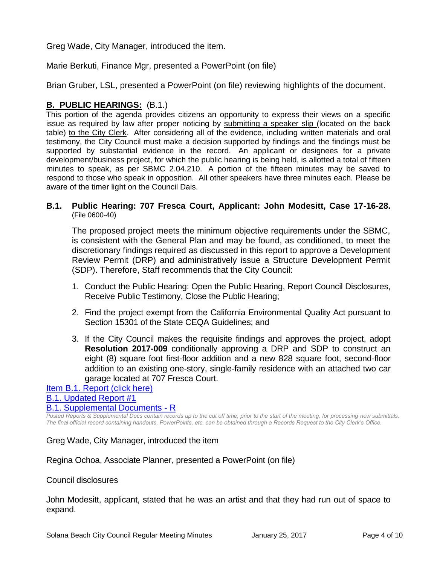Greg Wade, City Manager, introduced the item.

Marie Berkuti, Finance Mgr, presented a PowerPoint (on file)

Brian Gruber, LSL, presented a PowerPoint (on file) reviewing highlights of the document.

## **B. PUBLIC HEARINGS:** (B.1.)

This portion of the agenda provides citizens an opportunity to express their views on a specific issue as required by law after proper noticing by submitting a speaker slip (located on the back table) to the City Clerk. After considering all of the evidence, including written materials and oral testimony, the City Council must make a decision supported by findings and the findings must be supported by substantial evidence in the record. An applicant or designees for a private development/business project, for which the public hearing is being held, is allotted a total of fifteen minutes to speak, as per SBMC 2.04.210. A portion of the fifteen minutes may be saved to respond to those who speak in opposition. All other speakers have three minutes each. Please be aware of the timer light on the Council Dais.

#### **B.1. Public Hearing: 707 Fresca Court, Applicant: John Modesitt, Case 17-16-28.** (File 0600-40)

The proposed project meets the minimum objective requirements under the SBMC, is consistent with the General Plan and may be found, as conditioned, to meet the discretionary findings required as discussed in this report to approve a Development Review Permit (DRP) and administratively issue a Structure Development Permit (SDP). Therefore, Staff recommends that the City Council:

- 1. Conduct the Public Hearing: Open the Public Hearing, Report Council Disclosures, Receive Public Testimony, Close the Public Hearing;
- 2. Find the project exempt from the California Environmental Quality Act pursuant to Section 15301 of the State CEQA Guidelines; and
- 3. If the City Council makes the requisite findings and approves the project, adopt **Resolution 2017-009** conditionally approving a DRP and SDP to construct an eight (8) square foot first-floor addition and a new 828 square foot, second-floor addition to an existing one-story, single-family residence with an attached two car garage located at 707 Fresca Court.

## [Item B.1. Report \(click here\)](https://solanabeach.govoffice3.com/vertical/Sites/%7B840804C2-F869-4904-9AE3-720581350CE7%7D/uploads/Item_B.1._Report_(click_here)_01-25-17.PDF) [B.1. Updated Report #1](https://solanabeach.govoffice3.com/vertical/Sites/%7B840804C2-F869-4904-9AE3-720581350CE7%7D/uploads/B.1._Updated_Report_1_-_1-25-17.pdf) [B.1. Supplemental Documents -](https://solanabeach.govoffice3.com/vertical/Sites/%7B840804C2-F869-4904-9AE3-720581350CE7%7D/uploads/B.1._Supplemental_Documents_-_R_1-25-17.pdf) R

*Posted Reports & Supplemental Docs contain records up to the cut off time, prior to the start of the meeting, for processing new submittals. The final official record containing handouts, PowerPoints, etc. can be obtained through a Records Request to the City Clerk's Office.*

Greg Wade, City Manager, introduced the item

Regina Ochoa, Associate Planner, presented a PowerPoint (on file)

## Council disclosures

John Modesitt, applicant, stated that he was an artist and that they had run out of space to expand.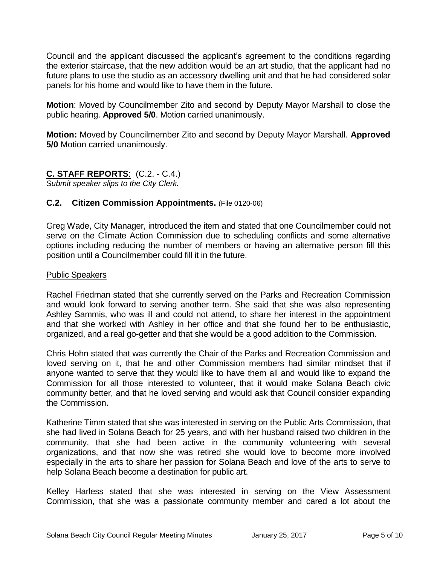Council and the applicant discussed the applicant's agreement to the conditions regarding the exterior staircase, that the new addition would be an art studio, that the applicant had no future plans to use the studio as an accessory dwelling unit and that he had considered solar panels for his home and would like to have them in the future.

**Motion**: Moved by Councilmember Zito and second by Deputy Mayor Marshall to close the public hearing. **Approved 5/0**. Motion carried unanimously.

**Motion:** Moved by Councilmember Zito and second by Deputy Mayor Marshall. **Approved 5/0** Motion carried unanimously.

## **C. STAFF REPORTS**: (C.2. - C.4.)

*Submit speaker slips to the City Clerk.*

## **C.2. Citizen Commission Appointments.** (File 0120-06)

Greg Wade, City Manager, introduced the item and stated that one Councilmember could not serve on the Climate Action Commission due to scheduling conflicts and some alternative options including reducing the number of members or having an alternative person fill this position until a Councilmember could fill it in the future.

## Public Speakers

Rachel Friedman stated that she currently served on the Parks and Recreation Commission and would look forward to serving another term. She said that she was also representing Ashley Sammis, who was ill and could not attend, to share her interest in the appointment and that she worked with Ashley in her office and that she found her to be enthusiastic, organized, and a real go-getter and that she would be a good addition to the Commission.

Chris Hohn stated that was currently the Chair of the Parks and Recreation Commission and loved serving on it, that he and other Commission members had similar mindset that if anyone wanted to serve that they would like to have them all and would like to expand the Commission for all those interested to volunteer, that it would make Solana Beach civic community better, and that he loved serving and would ask that Council consider expanding the Commission.

Katherine Timm stated that she was interested in serving on the Public Arts Commission, that she had lived in Solana Beach for 25 years, and with her husband raised two children in the community, that she had been active in the community volunteering with several organizations, and that now she was retired she would love to become more involved especially in the arts to share her passion for Solana Beach and love of the arts to serve to help Solana Beach become a destination for public art.

Kelley Harless stated that she was interested in serving on the View Assessment Commission, that she was a passionate community member and cared a lot about the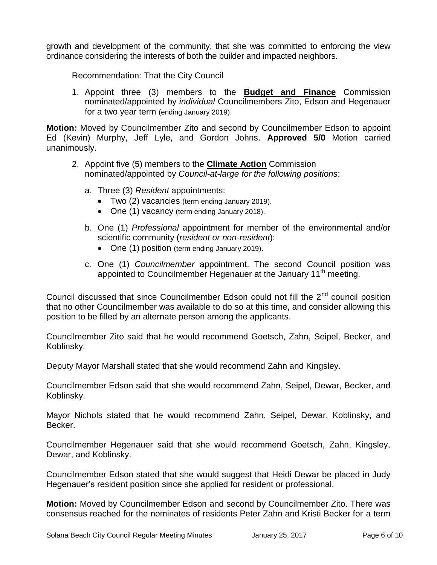growth and development of the community, that she was committed to enforcing the view ordinance considering the interests of both the builder and impacted neighbors.

Recommendation: That the City Council

1. Appoint three (3) members to the **Budget and Finance** Commission nominated/appointed by *individual* Councilmembers Zito, Edson and Hegenauer for a two year term (ending January 2019).

**Motion:** Moved by Councilmember Zito and second by Councilmember Edson to appoint Ed (Kevin) Murphy, Jeff Lyle, and Gordon Johns. **Approved 5/0** Motion carried unanimously.

- 2. Appoint five (5) members to the **Climate Action** Commission nominated/appointed by *Council-at-large for the following positions*:
	- a. Three (3) *Resident* appointments:
		- Two (2) vacancies (term ending January 2019).
		- One (1) vacancy (term ending January 2018).
	- b. One (1) *Professional* appointment for member of the environmental and/or scientific community (*resident or non-resident*):
		- One (1) position (term ending January 2019).
	- c. One (1) *Councilmember* appointment. The second Council position was appointed to Councilmember Hegenauer at the January 11<sup>th</sup> meeting.

Council discussed that since Councilmember Edson could not fill the  $2<sup>nd</sup>$  council position that no other Councilmember was available to do so at this time, and consider allowing this position to be filled by an alternate person among the applicants.

Councilmember Zito said that he would recommend Goetsch, Zahn, Seipel, Becker, and Koblinsky.

Deputy Mayor Marshall stated that she would recommend Zahn and Kingsley.

Councilmember Edson said that she would recommend Zahn, Seipel, Dewar, Becker, and Koblinsky.

Mayor Nichols stated that he would recommend Zahn, Seipel, Dewar, Koblinsky, and Becker.

Councilmember Hegenauer said that she would recommend Goetsch, Zahn, Kingsley, Dewar, and Koblinsky.

Councilmember Edson stated that she would suggest that Heidi Dewar be placed in Judy Hegenauer's resident position since she applied for resident or professional.

**Motion:** Moved by Councilmember Edson and second by Councilmember Zito. There was consensus reached for the nominates of residents Peter Zahn and Kristi Becker for a term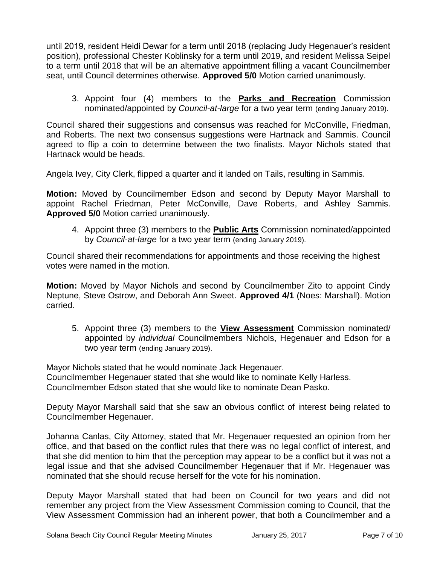until 2019, resident Heidi Dewar for a term until 2018 (replacing Judy Hegenauer's resident position), professional Chester Koblinsky for a term until 2019, and resident Melissa Seipel to a term until 2018 that will be an alternative appointment filling a vacant Councilmember seat, until Council determines otherwise. **Approved 5/0** Motion carried unanimously.

3. Appoint four (4) members to the **Parks and Recreation** Commission nominated/appointed by *Council-at-large* for a two year term (ending January 2019).

Council shared their suggestions and consensus was reached for McConville, Friedman, and Roberts. The next two consensus suggestions were Hartnack and Sammis. Council agreed to flip a coin to determine between the two finalists. Mayor Nichols stated that Hartnack would be heads.

Angela Ivey, City Clerk, flipped a quarter and it landed on Tails, resulting in Sammis.

**Motion:** Moved by Councilmember Edson and second by Deputy Mayor Marshall to appoint Rachel Friedman, Peter McConville, Dave Roberts, and Ashley Sammis. **Approved 5/0** Motion carried unanimously.

4. Appoint three (3) members to the **Public Arts** Commission nominated/appointed by *Council-at-large* for a two year term (ending January 2019).

Council shared their recommendations for appointments and those receiving the highest votes were named in the motion.

**Motion:** Moved by Mayor Nichols and second by Councilmember Zito to appoint Cindy Neptune, Steve Ostrow, and Deborah Ann Sweet. **Approved 4/1** (Noes: Marshall). Motion carried.

5. Appoint three (3) members to the **View Assessment** Commission nominated/ appointed by *individual* Councilmembers Nichols, Hegenauer and Edson for a two year term (ending January 2019).

Mayor Nichols stated that he would nominate Jack Hegenauer. Councilmember Hegenauer stated that she would like to nominate Kelly Harless. Councilmember Edson stated that she would like to nominate Dean Pasko.

Deputy Mayor Marshall said that she saw an obvious conflict of interest being related to Councilmember Hegenauer.

Johanna Canlas, City Attorney, stated that Mr. Hegenauer requested an opinion from her office, and that based on the conflict rules that there was no legal conflict of interest, and that she did mention to him that the perception may appear to be a conflict but it was not a legal issue and that she advised Councilmember Hegenauer that if Mr. Hegenauer was nominated that she should recuse herself for the vote for his nomination.

Deputy Mayor Marshall stated that had been on Council for two years and did not remember any project from the View Assessment Commission coming to Council, that the View Assessment Commission had an inherent power, that both a Councilmember and a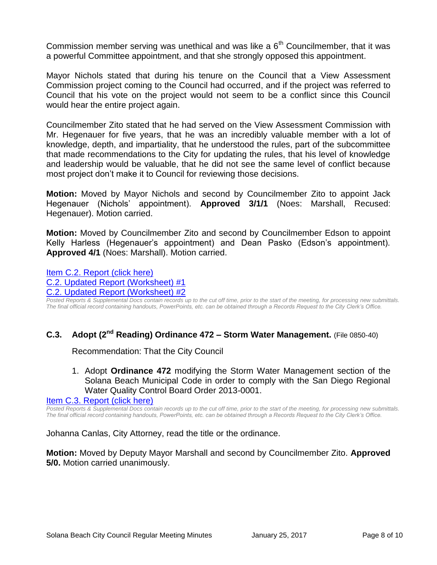Commission member serving was unethical and was like a  $6<sup>th</sup>$  Councilmember, that it was a powerful Committee appointment, and that she strongly opposed this appointment.

Mayor Nichols stated that during his tenure on the Council that a View Assessment Commission project coming to the Council had occurred, and if the project was referred to Council that his vote on the project would not seem to be a conflict since this Council would hear the entire project again.

Councilmember Zito stated that he had served on the View Assessment Commission with Mr. Hegenauer for five years, that he was an incredibly valuable member with a lot of knowledge, depth, and impartiality, that he understood the rules, part of the subcommittee that made recommendations to the City for updating the rules, that his level of knowledge and leadership would be valuable, that he did not see the same level of conflict because most project don't make it to Council for reviewing those decisions.

**Motion:** Moved by Mayor Nichols and second by Councilmember Zito to appoint Jack Hegenauer (Nichols' appointment). **Approved 3/1/1** (Noes: Marshall, Recused: Hegenauer). Motion carried.

**Motion:** Moved by Councilmember Zito and second by Councilmember Edson to appoint Kelly Harless (Hegenauer's appointment) and Dean Pasko (Edson's appointment). **Approved 4/1** (Noes: Marshall). Motion carried.

[Item C.2. Report \(click here\)](https://solanabeach.govoffice3.com/vertical/Sites/%7B840804C2-F869-4904-9AE3-720581350CE7%7D/uploads/Item_C.2._Report_(click_here)_01-25-17.PDF) [C.2. Updated Report \(Worksheet\) #1](https://solanabeach.govoffice3.com/vertical/Sites/%7B840804C2-F869-4904-9AE3-720581350CE7%7D/uploads/C.2._Updated_Report_(wrksht)-_1-25-17.pdf) [C.2. Updated Report \(Worksheet\) #2](https://solanabeach.govoffice3.com/vertical/Sites/%7B840804C2-F869-4904-9AE3-720581350CE7%7D/uploads/C.2._Updated_Report_(wrksht)_2-_1-25-17.pdf)

*Posted Reports & Supplemental Docs contain records up to the cut off time, prior to the start of the meeting, for processing new submittals. The final official record containing handouts, PowerPoints, etc. can be obtained through a Records Request to the City Clerk's Office.*

## **C.3. Adopt (2nd Reading) Ordinance 472 – Storm Water Management.** (File 0850-40)

Recommendation: That the City Council

1. Adopt **Ordinance 472** modifying the Storm Water Management section of the Solana Beach Municipal Code in order to comply with the San Diego Regional Water Quality Control Board Order 2013-0001.

[Item C.3. Report \(click here\)](https://solanabeach.govoffice3.com/vertical/Sites/%7B840804C2-F869-4904-9AE3-720581350CE7%7D/uploads/Item_C.3._Report_(click_here)_01-25-17.PDF)

*Posted Reports & Supplemental Docs contain records up to the cut off time, prior to the start of the meeting, for processing new submittals. The final official record containing handouts, PowerPoints, etc. can be obtained through a Records Request to the City Clerk's Office.*

Johanna Canlas, City Attorney, read the title or the ordinance.

**Motion:** Moved by Deputy Mayor Marshall and second by Councilmember Zito. **Approved 5/0.** Motion carried unanimously.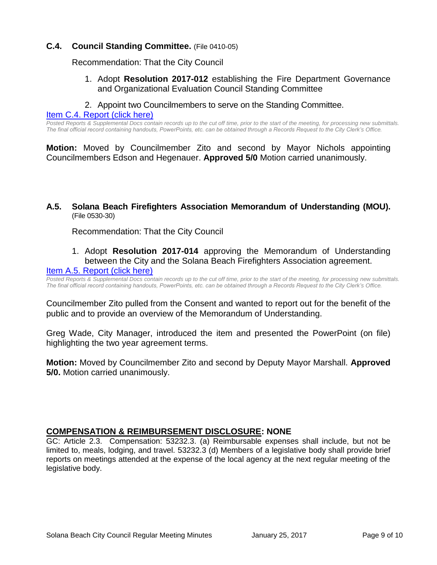## **C.4. Council Standing Committee.** (File 0410-05)

Recommendation: That the City Council

- 1. Adopt **Resolution 2017-012** establishing the Fire Department Governance and Organizational Evaluation Council Standing Committee
- 2. Appoint two Councilmembers to serve on the Standing Committee.

[Item C.4. Report \(click here\)](https://solanabeach.govoffice3.com/vertical/Sites/%7B840804C2-F869-4904-9AE3-720581350CE7%7D/uploads/Item_C.4._Report_(click_here)_01-25-17.PDF)

*Posted Reports & Supplemental Docs contain records up to the cut off time, prior to the start of the meeting, for processing new submittals. The final official record containing handouts, PowerPoints, etc. can be obtained through a Records Request to the City Clerk's Office.*

**Motion:** Moved by Councilmember Zito and second by Mayor Nichols appointing Councilmembers Edson and Hegenauer. **Approved 5/0** Motion carried unanimously.

#### **A.5. Solana Beach Firefighters Association Memorandum of Understanding (MOU).** (File 0530-30)

Recommendation: That the City Council

1. Adopt **Resolution 2017-014** approving the Memorandum of Understanding between the City and the Solana Beach Firefighters Association agreement.

#### [Item A.5. Report \(click here\)](https://solanabeach.govoffice3.com/vertical/Sites/%7B840804C2-F869-4904-9AE3-720581350CE7%7D/uploads/Item_A.5._Report_(click_here)_01-25-2017.pdf)

*Posted Reports & Supplemental Docs contain records up to the cut off time, prior to the start of the meeting, for processing new submittals. The final official record containing handouts, PowerPoints, etc. can be obtained through a Records Request to the City Clerk's Office.*

Councilmember Zito pulled from the Consent and wanted to report out for the benefit of the public and to provide an overview of the Memorandum of Understanding.

Greg Wade, City Manager, introduced the item and presented the PowerPoint (on file) highlighting the two year agreement terms.

**Motion:** Moved by Councilmember Zito and second by Deputy Mayor Marshall. **Approved 5/0.** Motion carried unanimously.

## **COMPENSATION & REIMBURSEMENT DISCLOSURE: NONE**

GC: Article 2.3. Compensation: 53232.3. (a) Reimbursable expenses shall include, but not be limited to, meals, lodging, and travel. 53232.3 (d) Members of a legislative body shall provide brief reports on meetings attended at the expense of the local agency at the next regular meeting of the legislative body.